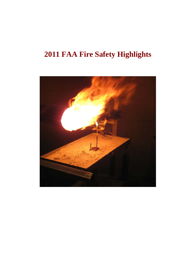# **2011 FAA Fire Safety Highlights**

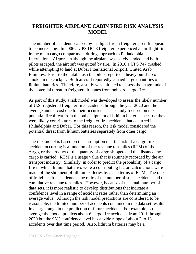# **FREIGHTER AIRPLANE CABIN FIRE RISK ANALYSIS MODEL**

The number of accidents caused by in-flight fire in freighter aircraft appears to be increasing. In 2006 a UPS DC-8 freighter experienced an in-flight fire in the main cargo compartment during approach to Philadelphia International Airport. Although the airplane was safely landed and both pilots escaped, the aircraft was gutted by fire. In 2010 a UPS 747 crashed while attempting to land at Dubai International Airport, United Arab Emirates. Prior to the fatal crash the pilots reported a heavy build-up of smoke in the cockpit. Both aircraft reportedly carried large quantities of lithium batteries. Therefore, a study was initiated to assess the magnitude of the potential threat to freighter airplanes from onboard cargo fires.

As part of this study, a risk model was developed to assess the likely number of U.S.-registered freighter fire accidents through the year 2020 and the average annual cost due to their occurrence. The study focused on the potential fire threat from the bulk shipment of lithium batteries because they were likely contributors to the freighter fire accidents that occurred in Philadelphia and Dubai. For this reason, the risk model considered the potential threat from lithium batteries separately from other cargo.

The risk model is based on the assumption that the risk of a cargo fire accident occurring is a function of the revenue ton-miles (RTM) of the cargo, or the product of the quantity of cargo shipped and the distance the cargo is carried. RTM is a usage value that is routinely recorded by the air transport industry. Similarly, in order to predict the probability of a cargo fire in which lithium batteries were a contributing factor, calculations were made of the shipment of lithium batteries by air in terms of RTM. The rate of freighter fire accidents is the ratio of the number of such accidents and the cumulative revenue ton-miles. However, because of the small number of data sets, it is more realistic to develop distributions that indicate a confidence level in a range of accident rates rather than determining an average value. Although the risk model predictions are considered to be reasonable, the limited number of accidents contained in the data set results in a large range in the prediction of future accidents. For example, on average the model predicts about 6 cargo fire accidents from 2011 through 2020 but the 95% confidence level has a wide range of about 2 to 13 accidents over that time period. Also, lithium batteries may be a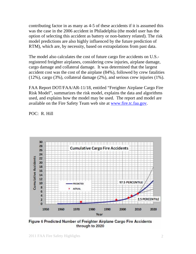contributing factor in as many as 4-5 of these accidents if it is assumed this was the case in the 2006 accident in Philadelphia (the model user has the option of selecting this accident as battery or non-battery related). The risk model predictions are also highly influenced by the future prediction of RTM), which are, by necessity, based on extrapolations from past data.

The model also calculates the cost of future cargo fire accidents on U.S. registered freighter airplanes, considering crew injuries, airplane damage, cargo damage and collateral damage. It was determined that the largest accident cost was the cost of the airplane (84%), followed by crew fatalities (12%), cargo (3%), collateral damage (2%), and serious crew injuries (1%).

FAA Report DOT/FAA/AR-11/18, entitled "Freighter Airplane Cargo Fire Risk Model", summarizes the risk model, explains the data and algorithms used, and explains how the model may be used. The report and model are available on the Fire Safety Team web site at [www.fire.tc.faa.gov](http://www.fire.tc.faa.gov/).

POC: R. Hill



Figure 6 Predicted Number of Freighter Airplane Cargo Fire Accidents through to 2020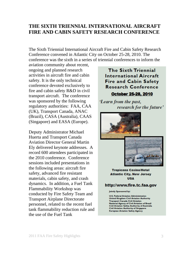## **THE SIXTH TRIENNIAL INTERNATIONAL AIRCRAFT FIRE AND CABIN SAFETY RESEARCH CONFERENCE**

The Sixth Triennial International Aircraft Fire and Cabin Safety Research Conference convened in Atlantic City on October 25-28, 2010. The conference was the sixth in a series of triennial conferences to inform the

aviation community about recent, ongoing and planned research activities in aircraft fire and cabin safety. It is the only technical conference devoted exclusively to fire and cabin safety R&D in civil transport aircraft. The conference was sponsored by the following regulatory authorities: FAA, CAA (UK), Transport Canada, ANAC (Brazil), CASA (Australia), CAAS (Singapore) and EASA (Europe).

Deputy Administrator Michael Huerta and Transport Canada Aviation Director General Martin Ely delivered keynote addresses. A record 600 attendees participated in the 2010 conference. Conference sessions included presentations in the following areas: aircraft fire safety, advanced fire resistant materials, cabin safety, and crash dynamics. In addition, a Fuel Tank Flammability Workshop was conducted by Fire Safety Team and Transport Airplane Directorate personnel, related to the recent fuel tank flammability reduction rule and the use of the Fuel Tank

The Sixth Triennial **International Aircraft** Fire and Cabin Safety **Research Conference** October 25-28, 2010

Learn from the past, research for the future'





#### **Tropicana Casino/Hotel Atlantic City, New Jersey USA**

#### http://www.fire.tc.faa.gov

Jointly Sponsored by:

**U.S. Federal Aviation Administration United Kingdom Civil Aviation Authority Transport Canada Civil Aviation** National Agency of Civil Aviation of Brazil<br>Civil Aviation Safety Authority of Australia<br>Civil Aviation Authority of Singapore **European Aviation Safety Agency**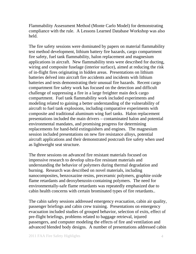Flammability Assessment Method (Monte Carlo Model) for demonstrating compliance with the rule. A Lessons Learned Database Workshop was also held.

The fire safety sessions were dominated by papers on material flammability test method development, lithium battery fire hazards, cargo compartment fire safety, fuel tank flammability, halon replacement and magnesium applications in aircraft. New flammability tests were described for ducting, wiring and composite fuselage (interior surface), aimed at reducing the risk of in-flight fires originating in hidden areas. Presentations on lithium batteries delved into aircraft fire accidents and incidents with lithium batteries and tests demonstrating their unusual fire hazards. Recent cargo compartment fire safety work has focused on the detection and difficult challenge of suppressing a fire in a large freighter main deck cargo compartment. Fuel tank flammability work included experiments and modeling related to gaining a better understanding of the vulnerability of aircraft to fuel tank explosions, including comparative experiments with composite and traditional aluminum wing fuel tanks. Halon replacement presentations included the main drivers – contaminated halon and potential environmental mandates, and promising progress for determining replacements for hand-held extinguishers and engines. The magnesium session included presentations on new fire resistance alloys, potential aircraft applications and their demonstrated postcrash fire safety when used as lightweight seat structure.

The three sessions on advanced fire resistant materials focused on impressive research to develop ultra-fire resistant materials and understanding the behavior of polymers during thermal degradation and burning. Research was described on novel materials, including nanocomposites, benzoxazine resins, preceramic polymers, graphite oxide flame retardants and deoxybenzoin-containing polymers. The need for environmentally-safe flame retardants was repeatedly emphasized due to cabin health concerns with certain brominated types of fire retardants..

The cabin safety sessions addressed emergency evacuation, cabin air quality, passenger briefings and cabin crew training. Presentations on emergency evacuation included studies of grouped behavior, selection of exits, effect of pre-flight briefings, problems related to baggage retrieval, injured passengers, and computer modeling the effects of fire and ventilation and advanced blended body designs. A number of presentations addressed cabin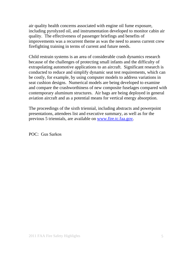air quality health concerns associated with engine oil fume exposure, including pyrolyzed oil, and instrumentation developed to monitor cabin air quality. The effectiveness of passenger briefings and benefits of improvements was a recurrent theme as was the need to assess current crew firefighting training in terms of current and future needs.

Child restrain systems is an area of considerable crash dynamics research because of the challenges of protecting small infants and the difficulty of extrapolating automotive applications to an aircraft. Significant research is conducted to reduce and simplify dynamic seat test requirements, which can be costly, for example, by using computer models to address variations in seat cushion designs. Numerical models are being developed to examine and compare the crashworthiness of new composite fuselages compared with contemporary aluminum structures. Air bags are being deployed in general aviation aircraft and as a potential means for vertical energy absorption.

The proceedings of the sixth triennial, including abstracts and powerpoint presentations, attendees list and executive summary, as well as for the previous 5 triennials, are available on [www.fire.tc.faa.gov](http://www.fire.tc.faa.gov/).

POC: Gus Sarkos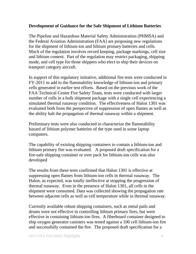## **Development of Guidance for the Safe Shipment of Lithium Batteries**

The Pipeline and Hazardous Material Safety Administration (PHMSA) and the Federal Aviation Administration (FAA) are proposing new regulations for the shipment of lithium-ion and lithium primary batteries and cells. Much of the regulation involves record keeping, package markings, cell size and lithium content. Part of the regulation may restrict packaging, shipping mode, and cell type for those shippers who elect to ship their devices on transport category aircraft.

In support of this regulatory initiative, additional fire tests were conducted in FY-2011 to add to the flammability knowledge of lithium-ion and primary cells generated in earlier test efforts. Based on the previous work of the FAA Technical Center Fire Safety Team, tests were conducted with larger number of cells in a bulk shipment package with a single cell experiencing a simulated thermal runaway condition. The effectiveness of Halon 1301 was evaluated both from the perspective of suppression of open flames as well as the ability halt the propagation of thermal runaway within a shipment.

Preliminary tests were also conducted to characterize the flammability hazard of lithium polymer batteries of the type used in some laptop computers.

The capability of existing shipping containers to contain a lithium-ion and lithium primary fire was evaluated. A proposed draft specification for a fire-safe shipping container or over pack for lithium-ion cells was also developed

The results from these tests confirmed that Halon 1301 is effective at suppressing open flames from lithium-ion cells in thermal runaway. The Halon, as expected, was totally ineffective at stopping the progression of thermal runaway. Even in the presence of Halon 1301, all cells in the shipment were consumed. Data was collected showing the propagation rate between adjacent cells as well as cell temperature while in thermal runaway.

Currently available robust shipping containers, such as metal pails and drums were not effective in controlling lithium primary fires, but were effective in containing lithium-ion fires. A fiberboard container designed to ship oxygen generator canisters was tested against a 100 cell lithium-ion fire and successfully contained the fire. The proposed draft specification for a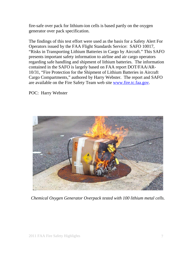fire-safe over pack for lithium-ion cells is based partly on the oxygen generator over pack specification.

The findings of this test effort were used as the basis for a Safety Alert For Operators issued by the FAA Flight Standards Service: SAFO 10017, "Risks in Transporting Lithium Batteries in Cargo by Aircraft." This SAFO presents important safety information to airline and air cargo operators regarding safe handling and shipment of lithium batteries. The information contained in the SAFO is largely based on FAA report DOT/FAA/AR-10/31, "Fire Protection for the Shipment of Lithium Batteries in Aircraft Cargo Compartments," authored by Harry Webster. The report and SAFO are available on the Fire Safety Team web site [www.fire.tc.faa.gov](http://www.fire.tc.faa.gov/).

POC: Harry Webster



*Chemical Oxygen Generator Overpack tested with 100 lithium metal cells.*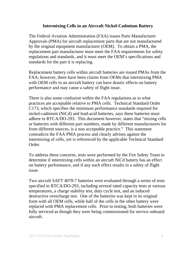#### **Intermixing Cells in an Aircraft Nickel-Cadmium Battery**

The Federal Aviation Administration (FAA) issues Parts Manufacturer Approvals (PMA) for aircraft replacement parts that are not manufactured by the original equipment manufacturer (OEM). To obtain a PMA, the replacement part manufacturer must meet the FAA requirements for safety regulations and standards, and it must meet the OEM's specifications and standards for the part it is replacing.

Replacement battery cells within aircraft batteries are issued PMAs from the FAA; however, there have been claims from OEMs that intermixing PMA with OEM cells in an aircraft battery can have drastic effects on battery performance and may cause a safety of flight issue.

There is also some confusion within the FAA regulations as to what practices are acceptable relative to PMA cells. Technical Standard Order C173, which specifies the minimum performance standards required for nickel-cadmium (NiCd) and lead-acid batteries, says these batteries must adhere to RTCA/DO-293. This document however, states that "mixing cells or batteries with different part numbers, made by different manufacturers for from different sources, is a non acceptable practice." This statement contradicts the FAA PMA process and clearly advises against the intermixing of cells, yet is referenced by the applicable Technical Standard Order.

To address these concerns, tests were performed by the Fire Safety Team to determine if intermixing cells within an aircraft NiCd battery has an effect on battery performance, and if any such effect results in a safety of flight issue.

Two aircraft SAFT 4078-7 batteries were evaluated through a series of tests specified in RTCA/DO-293, including several rated capacity tests at various temperatures, a charge stability test, duty cycle test, and an induced destructive overcharge test. One of the batteries was kept in its original form with all OEM cells, while half of the cells in the other battery were replaced with PMA replacement cells. Prior to testing, both batteries were fully serviced as though they were being commissioned for service onboard aircraft.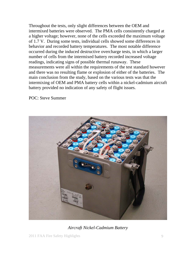Throughout the tests, only slight differences between the OEM and intermixed batteries were observed. The PMA cells consistently charged at a higher voltage; however, none of the cells exceeded the maximum voltage of 1.7 V. During some tests, individual cells showed some differences in behavior and recorded battery temperatures. The most notable difference occurred during the induced destructive overcharge tests, in which a larger number of cells from the intermixed battery recorded increased voltage readings, indicating signs of possible thermal runaway. These measurements were all within the requirements of the test standard however and there was no resulting flame or explosion of either of the batteries. The main conclusion from the study, based on the various tests was that the intermixing of OEM and PMA battery cells within a nickel-cadmium aircraft battery provided no indication of any safety of flight issues.

POC: Steve Summer



*Aircraft Nickel-Cadmium Battery*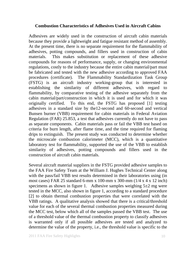#### **Combustion Characteristics of Adhesives Used in Aircraft Cabins**

Adhesives are widely used in the construction of aircraft cabin materials because they provide a lightweight and fatigue resistant method of assembly. At the present time, there is no separate requirement for the flammability of adhesives, potting compounds, and fillers used in construction of cabin materials. This makes substitution or replacement of these adhesive compounds for reasons of performance, supply, or changing environmental regulations, costly to the industry because the entire cabin material/part must be fabricated and tested with the new adhesive according to approved FAA procedures (certificate). The Flammability Standardization Task Group (FSTG) is an aircraft industry working-group that is interested in establishing the similarity of different adhesives, with regard to flammability, by comparative testing of the adhesive separately from the cabin material/part/construction in which it is used and for which it was originally certified. To this end, the FSTG has proposed [1] testing adhesives in a standard size by the12-second and 60-second and vertical Bunsen burner (VBB) requirement for cabin materials in Federal Aviation Regulation (FAR) 25.853, a test that adhesives currently do not have to pass as separate components. Cabin materials pass or fail the VBB test based on criteria for burn length, after flame time, and the time required for flaming drips to extinguish. The present study was conducted to determine whether the microscale combustion calorimeter (MCC), which is a quantitative laboratory test for flammability, supported the use of the VBB to establish similarity of adhesives, potting compounds and fillers used in the construction of aircraft cabin materials.

Several aircraft material suppliers in the FSTG provided adhesive samples to the FAA Fire Safety Team at the William J. Hughes Technical Center along with the pass/fail VBB test results determined in their laboratories using (in most cases) FAR 25 standard 6-mm x 100-mm x 300-mm (1/4 x 4 x 12 inch) specimens as shown in figure 1. Adhesive samples weighing  $5\pm 2$  mg were tested in the MCC, also shown in figure 1, according to a standard procedure [2] to obtain thermal combustion properties that were correlated with the VBB ratings. A qualitative analysis showed that there is a critical/threshold value for each of the several thermal combustion properties measured during the MCC test, below which all of the samples passed the VBB test. The use of a threshold value of the thermal combustion property to classify adhesives is warranted only if all possible adhesives are tested and analyzed to determine the value of the property, i.e., the threshold value is specific to the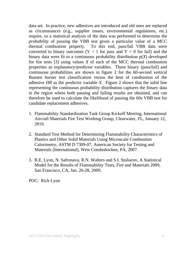data set. In practice, new adhesives are introduced and old ones are replaced as circumstances (e.g., supplier issues, environmental regulations, etc.) require, so a statistical analysis of the data was performed to determine the *probability* of passing the VBB test given a particular value of a MCC thermal combustion property. To this end, pass/fail VBB data were converted to binary outcomes ( $Y = 1$  for pass and  $Y = 0$  for fail) and the binary data were fit to a continuous probability distribution *p*(*X*) developed for fire tests [3] using values *X* of each of the MCC thermal combustion properties as explanatory/predictor variables. These binary (pass/fail) and continuous probabilities are shown in figure 2 for the 60-second vertical Bunsen burner test classification versus the heat of combustion of the adhesive *HR* as the predictor variable *X*. Figure 2 shows that the solid line representing the continuous probability distribution captures the binary data in the region where both passing and failing results are obtained, and can therefore be used to calculate the likelihood of passing the 60s VBB test for candidate replacement adhesives.

- 1. Flammability Standardization Task Group Kickoff Meeting, International Aircraft Materials Fire Test Working Group, Clearwater, FL, January 12, 2010.
- 2. Standard Test Method for Determining Flammability Characteristics of Plastics and Other Solid Materials Using Microscale Combustion Calorimetry, ASTM D 7309-07, American Society for Testing and Materials (International), West Conshohocken, PA, 2007.
- 3. R.E. Lyon, N. Safronava, R.N. Walters and S.I. Stoliarov, A Statistical Model for the Results of Flammability Tests, Fire and Materials 2009, San Francisco, CA, Jan. 26-28, 2009.

POC: Rich Lyon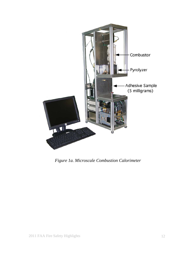

*Figure 1a. Microscale Combustion Calorimeter*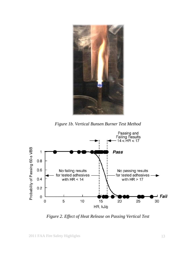

*Figure 1b. Vertical Bunsen Burner Test Method* 



*Figure 2. Effect of Heat Release on Passing Vertical Test*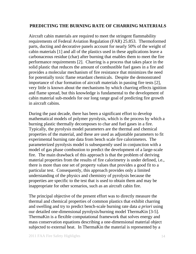## **PREDICTING THE BURNING RATE OF CHARRING MATERIALS**

Aircraft cabin materials are required to meet the stringent flammability requirements of Federal Aviation Regulation (FAR) 25.853. Thermoformed parts, ducting and decorative panels account for nearly 50% of the weight of cabin materials [1] and all of the plastics used in these applications leave a carbonaceous residue (char) after burning that enables them to meet the fire performance requirements [2]. Charring is a process that takes place in the solid plastic that reduces the amount of combustible fuel gases in a fire and provides a molecular mechanism of fire resistance that minimizes the need for potentially toxic flame retardant chemicals. Despite the demonstrated importance of char formation of aircraft materials in passing fire tests [2], very little is known about the mechanisms by which charring effects ignition and flame spread, but this knowledge is fundamental to the development of cabin material sub-models for our long range goal of predicting fire growth in aircraft cabins.

During the past decade, there has been a significant effort to develop mathematical models of polymer pyrolysis, which is the process by which a burning plastic thermally decomposes to char and fuel gases in a fire. Typically, the pyrolysis model parameters are the thermal and chemical properties of the material, and these are used as adjustable parameters to fit experimental burning rate data from bench scale fire calorimeters. The parameterized pyrolysis model is subsequently used in conjunction with a model of gas phase combustion to predict the development of a large-scale fire. The main drawback of this approach is that the problem of deriving material properties from the results of fire calorimetry is under defined, i.e., there is more than one set of property values that provides a good fit to a particular test. Consequently, this approach provides only a limited understanding of the physics and chemistry of pyrolysis because the properties are specific to the test that is used to obtain them and may be inappropriate for other scenarios, such as an aircraft cabin fire.

The principal objective of the present effort was to directly measure the thermal and chemical properties of common plastics that exhibit charring and swelling and try to predict bench-scale burning rate data *a priori* using our detailed one-dimensional pyrolysis/burning model ThermaKin [3-5]. ThermaKin is a flexible computational framework that solves energy and mass conservation equations describing a one-dimensional material object subjected to external heat. In ThermaKin the material is represented by a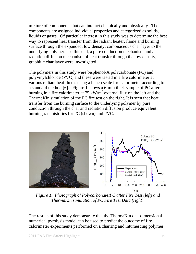mixture of components that can interact chemically and physically. The components are assigned individual properties and categorized as solids, liquids or gases. Of particular interest in this study was to determine the best way to represent heat transfer from the radiant heater, flame and burning surface through the expanded, low density, carbonaceous char layer to the underlying polymer. To this end, a pure conduction mechanism and a radiation diffusion mechanism of heat transfer through the low density, graphitic char layer were investigated.

The polymers in this study were bisphenol-A polycarbonate (PC) and polyvinylchloride (PVC) and these were tested in a fire calorimeter at various radiant heat fluxes using a bench scale fire calorimeter according to a standard method [6]. Figure 1 shows a 6-mm thick sample of PC after burning in a fire calorimeter at 75 kW/ $m^2$  external flux on the left and the ThermaKin simulation of the PC fire test on the right. It is seen that heat transfer from the burning surface to the underlying polymer by pure conduction through the char and radiation diffusion produce equivalent burning rate histories for PC (shown) and PVC.



*Figure 1. Photograph of Polycarbonate/PC after Fire Test (left) and ThermaKin simulation of PC Fire Test Data (right).* 

The results of this study demonstrate that the ThermaKin one-dimensional numerical pyrolysis model can be used to predict the outcome of fire calorimeter experiments performed on a charring and intumescing polymer.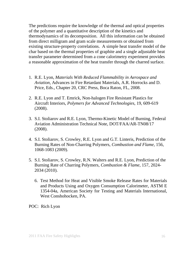The predictions require the knowledge of the thermal and optical properties of the polymer and a quantitative description of the kinetics and thermodynamics of its decomposition. All this information can be obtained from direct milligram and gram scale measurements or obtained from existing structure-property correlations. A simple heat transfer model of the char based on the thermal properties of graphite and a single adjustable heat transfer parameter determined from a cone calorimetry experiment provides a reasonable approximation of the heat transfer through the charred surface.

- 1. R.E. Lyon, *Materials With Reduced Flammability in Aerospace and Aviation,* Advances in Fire Retardant Materials, A.R. Horrocks and D. Price, Eds., Chapter 20, CRC Press, Boca Raton, FL, 2008.
- 2. R.E. Lyon and T. Emrick, Non-halogen Fire Resistant Plastics for Aircraft Interiors, *Polymers for Advanced Technologies*, 19, 609-619 (2008).
- 3. S.I. Stoliarov and R.E. Lyon, Thermo-Kinetic Model of Burning, Federal Aviation Administration Technical Note, DOT/FAA/AR-TN08/17 (2008).
- 4. S.I. Stoliarov, S. Crowley, R.E. Lyon and G.T. Linteris, Prediction of the Burning Rates of Non-Charring Polymers, *Combustion and Flame*, 156, 1068-1083 (2009).
- 5. S.I. Stoliarov, S. Crowley, R.N. Walters and R.E. Lyon, Prediction of the Burning Rate of Charring Polymers, *Combustion & Flame*, 157, 2024- 2034 (2010).
	- 6. Test Method for Heat and Visible Smoke Release Rates for Materials and Products Using and Oxygen Consumption Calorimeter, ASTM E 1354-04a, American Society for Testing and Materials International, West Conshohocken, PA.

POC: Rich Lyon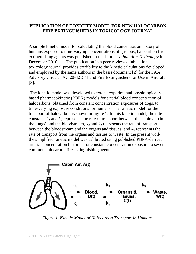### **PUBLICATION OF TOXICITY MODEL FOR NEW HALOCARBON FIRE EXTINGUISHERS IN TOXICOLOGY JOURNAL**

A simple kinetic model for calculating the blood concentration history of humans exposed to time-varying concentrations of gaseous, halocarbon fireextinguishing agents was published in the Journal *Inhalation Toxicology* in December 2010 [1]. The publication in a peer-reviewed inhalation toxicology journal provides credibility to the kinetic calculations developed and employed by the same authors in the basis document [2] for the FAA Advisory Circular AC 20-42D "Hand Fire Extinguishers for Use in Aircraft" [3].

 The kinetic model was developed to extend experimental physiologically based pharmacokinetic (PBPK) models for arterial blood concentration of halocarbons, obtained from constant concentration exposures of dogs, to time-varying exposure conditions for humans. The kinetic model for the transport of halocarbon is shown in figure 1. In this kinetic model, the rate constants  $k_1$  and  $k_2$  represents the rate of transport between the cabin air (in the lungs) and the bloodstream,  $k_3$  and  $k_4$  represents the rate of transport between the bloodstream and the organs and tissues, and  $k_5$  represents the rate of transport from the organs and tissues to waste. In the present work, the simplified kinetic model was calibrated using published PBPK-derived arterial concentration histories for constant concentration exposure to several common halocarbon fire-extinguishing agents.



*Figure 1. Kinetic Model of Halocarbon Transport in Humans*.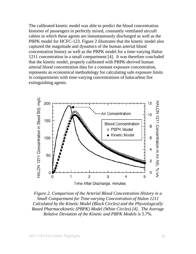The calibrated kinetic model was able to predict the blood concentration histories of passengers in perfectly mixed, constantly ventilated aircraft cabins in which these agents are instantaneously discharged as well as the PBPK model for HCFC-123. Figure 2 illustrates that the kinetic model also captured the magnitude and dynamics of the human arterial blood concentration history as well as the PBPK model for a time-varying Halon 1211 concentration in a small compartment [4]. It was therefore concluded that the kinetic model, properly calibrated with PBPK-derived human arterial blood concentration data for a constant exposure concentration, represents an economical methodology for calculating safe exposure limits in compartments with time-varying concentrations of halocarbon fire extinguishing agents.



*Figure 2. Comparison of the Arterial Blood Concentration History in a Small Compartment for Time-varying Concentration of Halon 1211 Calculated by the Kinetic Model (Black Circles) and the Physiologically Based Pharmacokinetic (PBPK) Model (White Circles) [4]. The Average Relative Deviation of the Kinetic and PBPK Models is 5.7%.*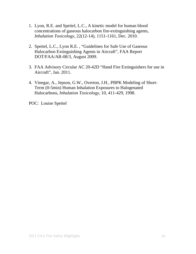- 1. Lyon, R.E. and Speitel, L.C., A kinetic model for human blood concentrations of gaseous halocarbon fire-extinguishing agents, *Inhalation Toxicology*, 22(12-14), 1151-1161, Dec. 2010.
- 2. Speitel, L.C., Lyon R.E. , "Guidelines for Safe Use of Gaseous Halocarbon Extinguishing Agents in Aircraft", FAA Report DOT/FAA/AR-08/3, August 2009.
- 3. FAA Advisory Circular AC 20-42D "Hand Fire Extinguishers for use in Aircraft", Jan. 2011.
- 4. Vinegar, A., Jepson, G.W., Overton, J.H., PBPK Modeling of Short-Term (0-5min) Human Inhalation Exposures to Halogenated Halocarbons, *Inhalation Toxicology*, 10, 411-429, 1998.

POC: Louise Speitel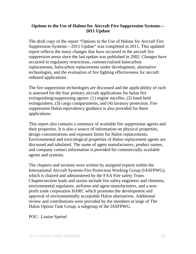## **Options to the Use of Halons for Aircraft Fire Suppression Systems— 2011 Update**

The draft copy of the report "Options to the Use of Halons for Aircraft Fire Suppression Systems—2011 Update" was completed in 2011. This updated report reflects the many changes that have occurred in the aircraft fire suppression arena since the last update was published in 2002. Changes have occurred in regulatory restrictions, commercialized halocarbon replacements, halocarbon replacements under development, alternative technologies, and the evaluation of fire fighting effectiveness for aircraft onboard applications.

The fire suppression technologies are discussed and the applicability of each is assessed for the four primary aircraft applications for halon fire extinguishing/suppressing agents: (1) engine nacelles, (2) hand-held extinguishers, (3) cargo compartments, and (4) lavatory protection. Fire suppression Halon equivalency guidance is also provided for these applications.

This report also contains a summary of available fire suppression agents and their properties. It is also a source of information on physical properties, design concentrations and exposure limits for Halon replacements. Environmental and toxicological properties of Halon replacement agents are discussed and tabulated. The name of agent manufacturers, product names, and company contact information is provided for commercially available agents and systems.

The chapters and sections were written by assigned experts within the International Aircraft Systems Fire Protection Working Group (IASFPWG), which is chaired and administered by the FAA Fire safety Team. Chapter/section leads and assists include fire safety engineers and chemists, environmental regulators, airframe and agent manufacturers, and a nonprofit trade corporation HARC which promotes the development and approval of environmentally acceptable Halon alternatives. Additional review and contributions were provided by the members at large of The Halon Option Task Group, a subgroup of the IASFPWG.

POC: Louise Speitel